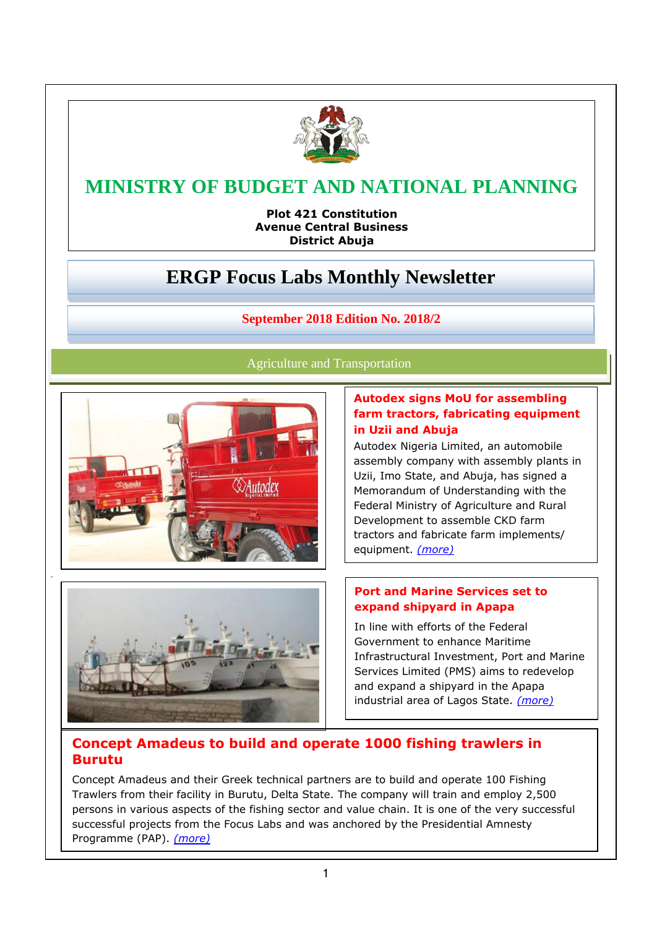

# **MINISTRY OF BUDGET AND NATIONAL PLANNING**

**MINISTER AND RUPIER AND RESPONSIVE ADMINISTRATION District Abuja Avenue Central Business** 

# **ERGP Focus Labs Monthly Newsletter**

## **September 2018 Edition No. 2018/2**

Agriculture and Transportation



# **Autodex signs MoU for assembling farm tractors, fabricating equipment in Uzii and Abuja**

Autodex Nigeria Limited, an automobile assembly company with assembly plants in Uzii, Imo State, and Abuja, has signed a Memorandum of Understanding with the Federal Ministry of Agriculture and Rural Development to assemble CKD farm tractors and fabricate farm implements/ equipment. *[\(more\)](https://www.nationalplanning.gov.ng/ergpnewsletter/Autodex%20signs%20MoU%20for%20assembling%20farm%20tractors,%20fabricating%20equipment%20in%20Uzii%20and%20Abuja.pdf)*



### **Port and Marine Services set to expand shipyard in Apapa**

In line with efforts of the Federal Government to enhance Maritime Infrastructural Investment, Port and Marine Services Limited (PMS) aims to redevelop and expand a shipyard in the Apapa industrial area of Lagos State. *[\(more\)](https://www.nationalplanning.gov.ng/ergpnewsletter/Port%20and%20Marine%20Services%20set%20to%20expand%20shipyard%20in%20Apapa.pdf)*

# **Concept Amadeus to build and operate 1000 fishing trawlers in Burutu**

Concept Amadeus and their Greek technical partners are to build and operate 100 Fishing Trawlers from their facility in Burutu, Delta State. The company will train and employ 2,500 persons in various aspects of the fishing sector and value chain. It is one of the very successful successful projects from the Focus Labs and was anchored by the Presidential Amnesty Programme (PAP). *[\(more\)](https://www.nationalplanning.gov.ng/ergpnewsletter/Concept%20Amadeus%20to%20build%20and%20operate%201000%20fishing%20trawlers%20in%20Burutu.pdf)*